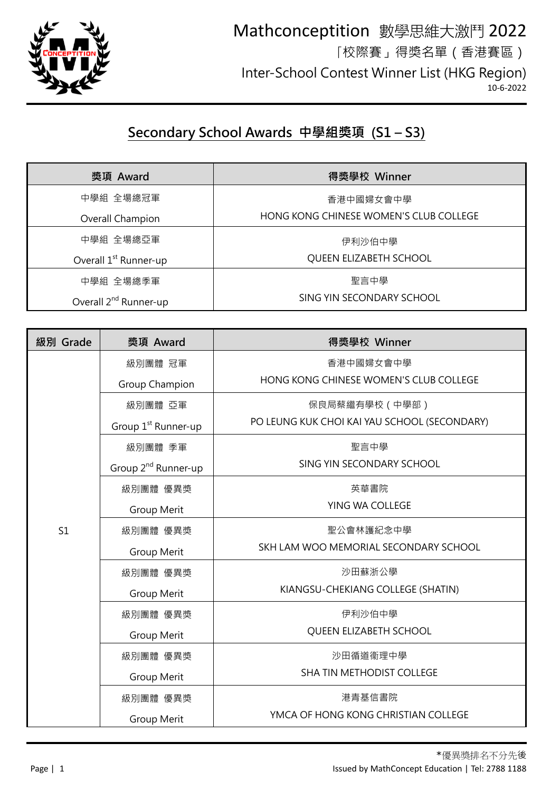

## **Secondary School Awards 中學組獎項 (S1 – S3)**

| 獎項 Award                          | 得獎學校 Winner                            |
|-----------------------------------|----------------------------------------|
| 中學組 全場總冠軍                         | 香港中國婦女會中學                              |
| Overall Champion                  | HONG KONG CHINESE WOMEN'S CLUB COLLEGE |
| 中學組 全場總亞軍                         | 伊利沙伯中學                                 |
| Overall 1 <sup>st</sup> Runner-up | QUEEN ELIZABETH SCHOOL                 |
| 中學組 全場總季軍                         | 聖言中學                                   |
| Overall 2 <sup>nd</sup> Runner-up | SING YIN SECONDARY SCHOOL              |

| 級別 Grade | 獎項 Award                        | 得獎學校 Winner                                  |
|----------|---------------------------------|----------------------------------------------|
|          | 級別團體 冠軍                         | 香港中國婦女會中學                                    |
|          | Group Champion                  | HONG KONG CHINESE WOMEN'S CLUB COLLEGE       |
|          | 級別團體 亞軍                         | 保良局蔡繼有學校 (中學部)                               |
|          | Group 1 <sup>st</sup> Runner-up | PO LEUNG KUK CHOI KAI YAU SCHOOL (SECONDARY) |
|          | 級別團體 季軍                         | 聖言中學                                         |
|          | Group 2 <sup>nd</sup> Runner-up | SING YIN SECONDARY SCHOOL                    |
|          | 級別團體 優異獎                        | 英華書院                                         |
|          | Group Merit                     | YING WA COLLEGE                              |
| S1       | 級別團體 優異獎                        | 聖公會林護紀念中學                                    |
|          | <b>Group Merit</b>              | SKH LAM WOO MEMORIAL SECONDARY SCHOOL        |
|          | 級別團體 優異獎                        | 沙田蘇浙公學                                       |
|          | Group Merit                     | KIANGSU-CHEKIANG COLLEGE (SHATIN)            |
|          | 級別團體 優異獎                        | 伊利沙伯中學                                       |
|          | Group Merit                     | QUEEN ELIZABETH SCHOOL                       |
|          | 級別團體 優異獎                        | 沙田循道衞理中學                                     |
|          | Group Merit                     | SHA TIN METHODIST COLLEGE                    |
|          | 級別團體 優異獎                        | 港青基信書院                                       |
|          | Group Merit                     | YMCA OF HONG KONG CHRISTIAN COLLEGE          |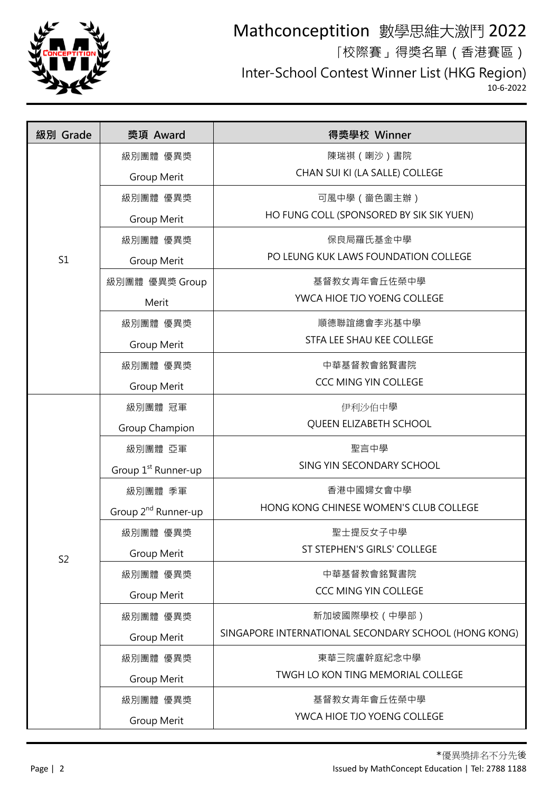

## Mathconceptition 數學思維大激鬥 2022 「校際賽」得獎名單(香港賽區) Inter-School Contest Winner List (HKG Region) 10-6-2022

| 級別 Grade       | 獎項 Award                        | 得獎學校 Winner                                          |
|----------------|---------------------------------|------------------------------------------------------|
|                | 級別團體 優異獎                        | 陳瑞祺 (喇沙)書院                                           |
|                | Group Merit                     | CHAN SUI KI (LA SALLE) COLLEGE                       |
|                | 級別團體 優異獎                        | 可風中學 ( 嗇色園主辦 )                                       |
|                | Group Merit                     | HO FUNG COLL (SPONSORED BY SIK SIK YUEN)             |
|                | 級別團體 優異獎                        | 保良局羅氏基金中學                                            |
| S1             | Group Merit                     | PO LEUNG KUK LAWS FOUNDATION COLLEGE                 |
|                | 級別團體 優異獎 Group                  | 基督教女青年會丘佐榮中學                                         |
|                | Merit                           | YWCA HIOE TJO YOENG COLLEGE                          |
|                | 級別團體 優異獎                        | 順德聯誼總會李兆基中學                                          |
|                | Group Merit                     | STFA LEE SHAU KEE COLLEGE                            |
|                | 級別團體 優異獎                        | 中華基督教會銘賢書院                                           |
|                | Group Merit                     | <b>CCC MING YIN COLLEGE</b>                          |
|                | 級別團體 冠軍                         | 伊利沙伯中學                                               |
|                | Group Champion                  | QUEEN ELIZABETH SCHOOL                               |
|                | 級別團體 亞軍                         | 聖言中學                                                 |
|                | Group 1 <sup>st</sup> Runner-up | SING YIN SECONDARY SCHOOL                            |
|                | 級別團體 季軍                         | 香港中國婦女會中學                                            |
|                | Group 2 <sup>nd</sup> Runner-up | HONG KONG CHINESE WOMEN'S CLUB COLLEGE               |
|                | 級別團體 優異獎                        | 聖士提反女子中學                                             |
| S <sub>2</sub> | <b>Group Merit</b>              | ST STEPHEN'S GIRLS' COLLEGE                          |
|                | 級別團體 優異獎                        | 中華基督教會銘賢書院                                           |
|                | Group Merit                     | CCC MING YIN COLLEGE                                 |
|                | 級別團體 優異獎                        | 新加坡國際學校(中學部)                                         |
|                | <b>Group Merit</b>              | SINGAPORE INTERNATIONAL SECONDARY SCHOOL (HONG KONG) |
|                | 級別團體 優異獎                        | 東華三院盧幹庭紀念中學                                          |
|                | Group Merit                     | TWGH LO KON TING MEMORIAL COLLEGE                    |
|                | 級別團體 優異獎                        | 基督教女青年會丘佐榮中學                                         |
|                | Group Merit                     | YWCA HIOE TJO YOENG COLLEGE                          |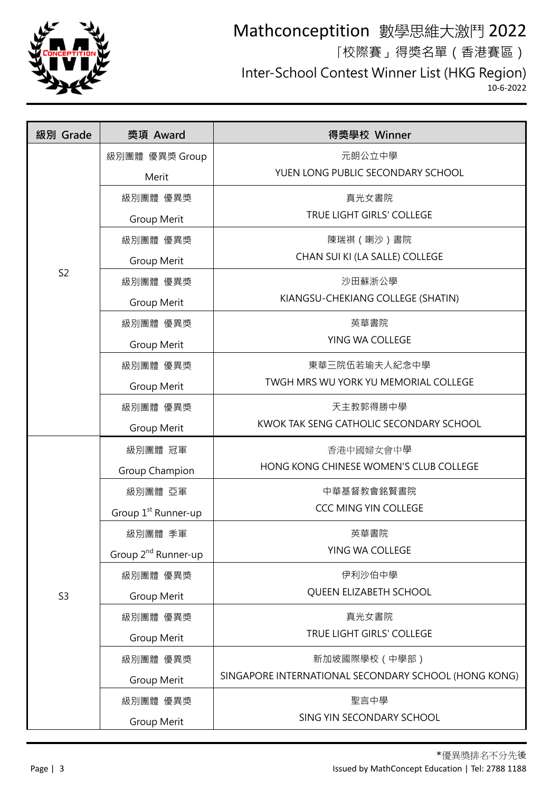

# Mathconceptition 數學思維大激鬥 2022 「校際賽」得獎名單(香港賽區) Inter-School Contest Winner List (HKG Region)

10-6-2022

| 級別 Grade       | 獎項 Award                        | 得獎學校 Winner                                          |
|----------------|---------------------------------|------------------------------------------------------|
|                | 級別團體 優異獎 Group                  | 元朗公立中學                                               |
|                | Merit                           | YUEN LONG PUBLIC SECONDARY SCHOOL                    |
|                | 級別團體 優異獎                        | 真光女書院                                                |
|                | Group Merit                     | TRUE LIGHT GIRLS' COLLEGE                            |
|                | 級別團體 優異獎                        | 陳瑞祺 (喇沙)書院                                           |
|                | Group Merit                     | CHAN SUI KI (LA SALLE) COLLEGE                       |
| S <sub>2</sub> | 級別團體 優異獎                        | 沙田蘇浙公學                                               |
|                | Group Merit                     | KIANGSU-CHEKIANG COLLEGE (SHATIN)                    |
|                | 級別團體 優異獎                        | 英華書院                                                 |
|                | Group Merit                     | YING WA COLLEGE                                      |
|                | 級別團體 優異獎                        | 東華三院伍若瑜夫人紀念中學                                        |
|                | Group Merit                     | TWGH MRS WU YORK YU MEMORIAL COLLEGE                 |
|                | 級別團體 優異獎                        | 天主教郭得勝中學                                             |
|                | Group Merit                     | KWOK TAK SENG CATHOLIC SECONDARY SCHOOL              |
|                | 級別團體 冠軍                         | 香港中國婦女會中學                                            |
|                | Group Champion                  | HONG KONG CHINESE WOMEN'S CLUB COLLEGE               |
|                | 級別團體 亞軍                         | 中華基督教會銘賢書院                                           |
|                | Group 1 <sup>st</sup> Runner-up | CCC MING YIN COLLEGE                                 |
|                | 級別團體 季軍                         | 英華書院                                                 |
|                | Group 2 <sup>nd</sup> Runner-up | YING WA COLLEGE                                      |
|                | 級別團體 優異獎                        | 伊利沙伯中學                                               |
| S <sub>3</sub> | Group Merit                     | QUEEN ELIZABETH SCHOOL                               |
|                | 級別團體 優異獎                        | 真光女書院                                                |
|                | Group Merit                     | TRUE LIGHT GIRLS' COLLEGE                            |
|                | 級別團體 優異獎                        | 新加坡國際學校(中學部)                                         |
|                | Group Merit                     | SINGAPORE INTERNATIONAL SECONDARY SCHOOL (HONG KONG) |
|                | 級別團體 優異獎                        | 聖言中學                                                 |
|                | Group Merit                     | SING YIN SECONDARY SCHOOL                            |